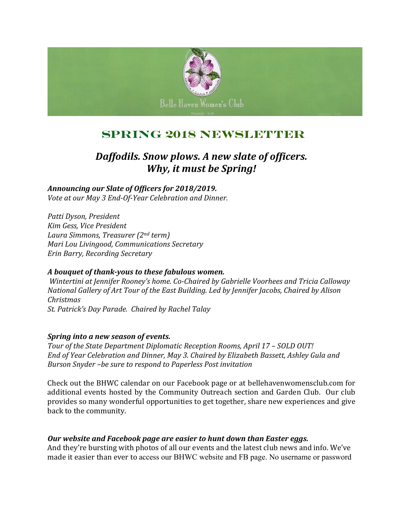

## **Spring 2018 Newsletter**

### *Daffodils. Snow plows. A new slate of officers. Why, it must be Spring!*

*Announcing our Slate of Officers for 2018/2019. Vote at our May 3 End-Of-Year Celebration and Dinner.*

*Patti Dyson, President Kim Gess, Vice President Laura Simmons, Treasurer (2nd term) Mari Lou Livingood, Communications Secretary Erin Barry, Recording Secretary*

### *A bouquet of thank-yous to these fabulous women.*

*Wintertini at Jennifer Rooney's home. Co-Chaired by Gabrielle Voorhees and Tricia Calloway National Gallery of Art Tour of the East Building. Led by Jennifer Jacobs, Chaired by Alison Christmas St. Patrick's Day Parade. Chaired by Rachel Talay*

#### *Spring into a new season of events.*

*Tour of the State Department Diplomatic Reception Rooms, April 17 – SOLD OUT! End of Year Celebration and Dinner, May 3. Chaired by Elizabeth Bassett, Ashley Gula and Burson Snyder –be sure to respond to Paperless Post invitation*

Check out the BHWC calendar on our Facebook page or at bellehavenwomensclub.com for additional events hosted by the Community Outreach section and Garden Club. Our club provides so many wonderful opportunities to get together, share new experiences and give back to the community.

### *Our website and Facebook page are easier to hunt down than Easter eggs.*

And they're bursting with photos of all our events and the latest club news and info. We've made it easier than ever to access our BHWC website and FB page. No username or password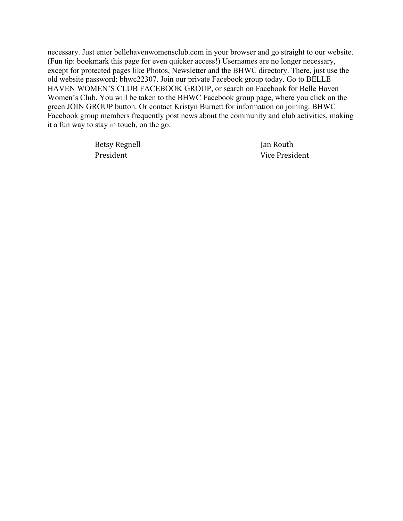necessary. Just enter bellehavenwomensclub.com in your browser and go straight to our website. (Fun tip: bookmark this page for even quicker access!) Usernames are no longer necessary, except for protected pages like Photos, Newsletter and the BHWC directory. There, just use the old website password: bhwc22307. Join our private Facebook group today. Go to BELLE HAVEN WOMEN'S CLUB FACEBOOK GROUP, or search on Facebook for Belle Haven Women's Club. You will be taken to the BHWC Facebook group page, where you click on the green JOIN GROUP button. Or contact Kristyn Burnett for information on joining. BHWC Facebook group members frequently post news about the community and club activities, making it a fun way to stay in touch, on the go.

Betsy Regnell **South** Jan Routh

President Vice President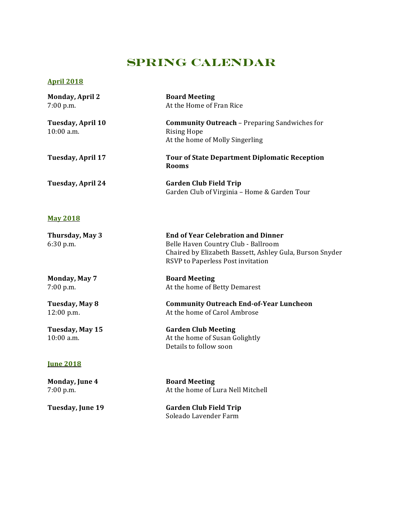### **Spring Calendar**

#### **April 2018**

| <b>Monday, April 2</b><br>$7:00$ p.m. | <b>Board Meeting</b><br>At the Home of Fran Rice                                                                                                                                  |
|---------------------------------------|-----------------------------------------------------------------------------------------------------------------------------------------------------------------------------------|
| Tuesday, April 10<br>$10:00$ a.m.     | <b>Community Outreach - Preparing Sandwiches for</b><br><b>Rising Hope</b><br>At the home of Molly Singerling                                                                     |
| Tuesday, April 17                     | <b>Tour of State Department Diplomatic Reception</b><br><b>Rooms</b>                                                                                                              |
| Tuesday, April 24                     | <b>Garden Club Field Trip</b><br>Garden Club of Virginia - Home & Garden Tour                                                                                                     |
| <b>May 2018</b>                       |                                                                                                                                                                                   |
| Thursday, May 3<br>$6:30$ p.m.        | <b>End of Year Celebration and Dinner</b><br>Belle Haven Country Club - Ballroom<br>Chaired by Elizabeth Bassett, Ashley Gula, Burson Snyder<br>RSVP to Paperless Post invitation |
|                                       |                                                                                                                                                                                   |

**Monday, May 7 Board Meeting** 7:00 p.m. At the home of Betty Demarest

#### **Tuesday, May 8 Community Outreach End-of-Year Luncheon** 12:00 p.m. At the home of Carol Ambrose

**Tuesday, May 15 Garden Club Meeting** 10:00 a.m. **At the home of Susan Golightly** Details to follow soon

#### **June 2018**

**Monday, June 4 Board Meeting**

7:00 p.m. At the home of Lura Nell Mitchell

**Tuesday, June 19 Garden Club Field Trip** Soleado Lavender Farm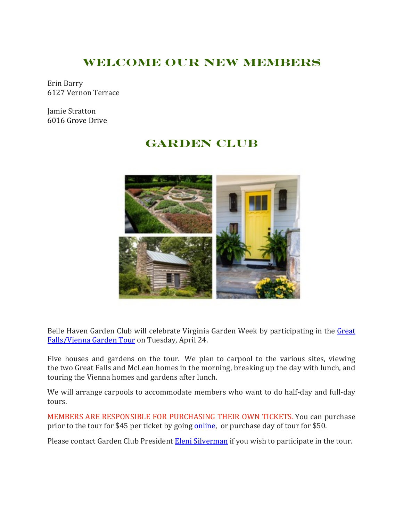### **Welcome Our New Members**

Erin Barry 6127 Vernon Terrace

Jamie Stratton 6016 Grove Drive

## **Garden Club**



Belle Haven Garden Club will celebrate Virginia Garden Week by participating in the Great Falls/Vienna Garden Tour on Tuesday, April 24.

Five houses and gardens on the tour. We plan to carpool to the various sites, viewing the two Great Falls and McLean homes in the morning, breaking up the day with lunch, and touring the Vienna homes and gardens after lunch.

We will arrange carpools to accommodate members who want to do half-day and full-day tours.

MEMBERS ARE RESPONSIBLE FOR PURCHASING THEIR OWN TICKETS. You can purchase prior to the tour for \$45 per ticket by going online, or purchase day of tour for \$50.

Please contact Garden Club President Eleni Silverman if you wish to participate in the tour.